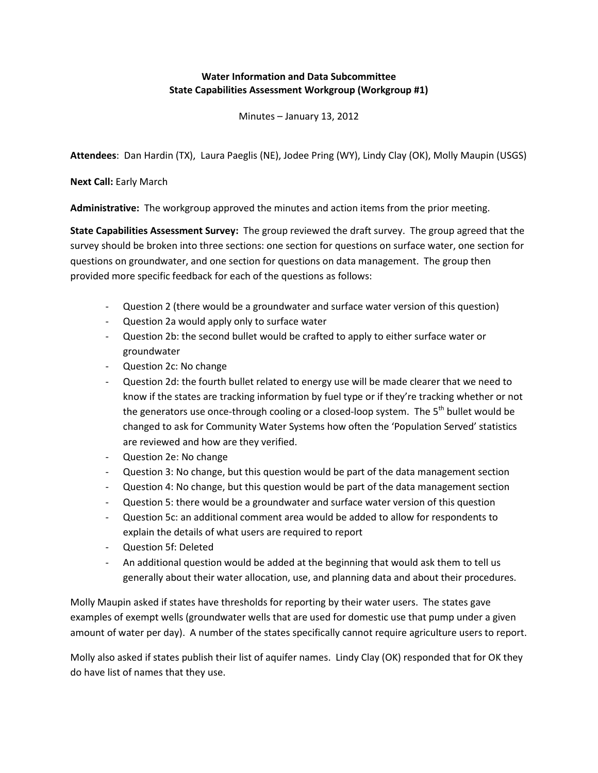## **Water Information and Data Subcommittee State Capabilities Assessment Workgroup (Workgroup #1)**

Minutes – January 13, 2012

**Attendees**: Dan Hardin (TX), Laura Paeglis (NE), Jodee Pring (WY), Lindy Clay (OK), Molly Maupin (USGS)

**Next Call: Early March** 

**Administrative:** The workgroup approved the minutes and action items from the prior meeting.

**State Capabilities Assessment Survey:** The group reviewed the draft survey. The group agreed that the survey should be broken into three sections: one section for questions on surface water, one section for questions on groundwater, and one section for questions on data management. The group then provided more specific feedback for each of the questions as follows:

- Question 2 (there would be a groundwater and surface water version of this question)
- Question 2a would apply only to surface water
- Question 2b: the second bullet would be crafted to apply to either surface water or groundwater
- Question 2c: No change
- Question 2d: the fourth bullet related to energy use will be made clearer that we need to know if the states are tracking information by fuel type or if they're tracking whether or not the generators use once-through cooling or a closed-loop system. The 5<sup>th</sup> bullet would be changed to ask for Community Water Systems how often the 'Population Served' statistics are reviewed and how are they verified.
- Question 2e: No change
- Question 3: No change, but this question would be part of the data management section
- Question 4: No change, but this question would be part of the data management section
- Question 5: there would be a groundwater and surface water version of this question
- Question 5c: an additional comment area would be added to allow for respondents to explain the details of what users are required to report
- Question 5f: Deleted
- An additional question would be added at the beginning that would ask them to tell us generally about their water allocation, use, and planning data and about their procedures.

Molly Maupin asked if states have thresholds for reporting by their water users. The states gave examples of exempt wells (groundwater wells that are used for domestic use that pump under a given amount of water per day). A number of the states specifically cannot require agriculture users to report.

Molly also asked if states publish their list of aquifer names. Lindy Clay (OK) responded that for OK they do have list of names that they use.